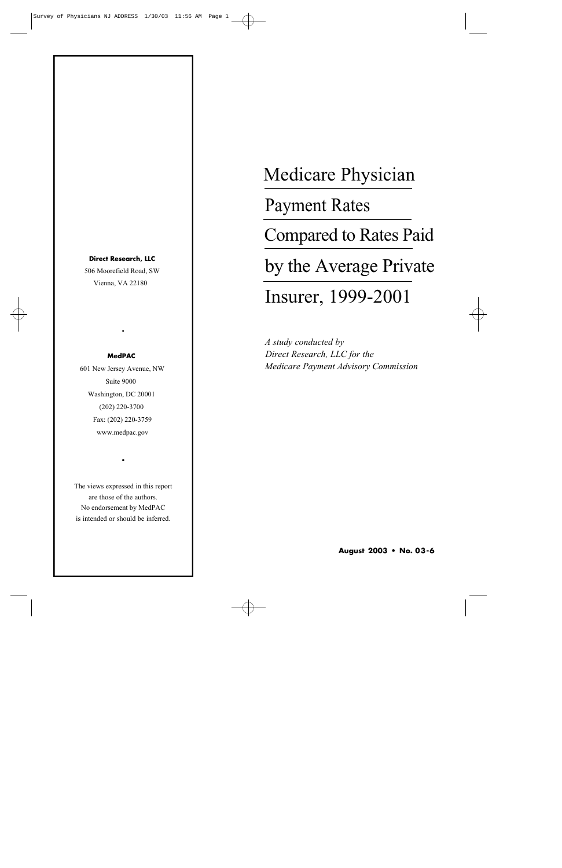**Direct Research, LLC** 506 Moorefield Road, SW Vienna, VA 22180

#### **MedPAC**

•

601 New Jersey Avenue, NW Suite 9000 Washington, DC 20001 (202) 220-3700 Fax: (202) 220-3759 www.medpac.gov

The views expressed in this report are those of the authors. No endorsement by MedPAC is intended or should be inferred.

•

# Medicare Physician

Payment Rates

Compared to Rates Paid

by the Average Private

Insurer, 1999-2001

*A study conducted by Direct Research, LLC for the Medicare Payment Advisory Commission*

**August 2003 • No. 0 3 - 6**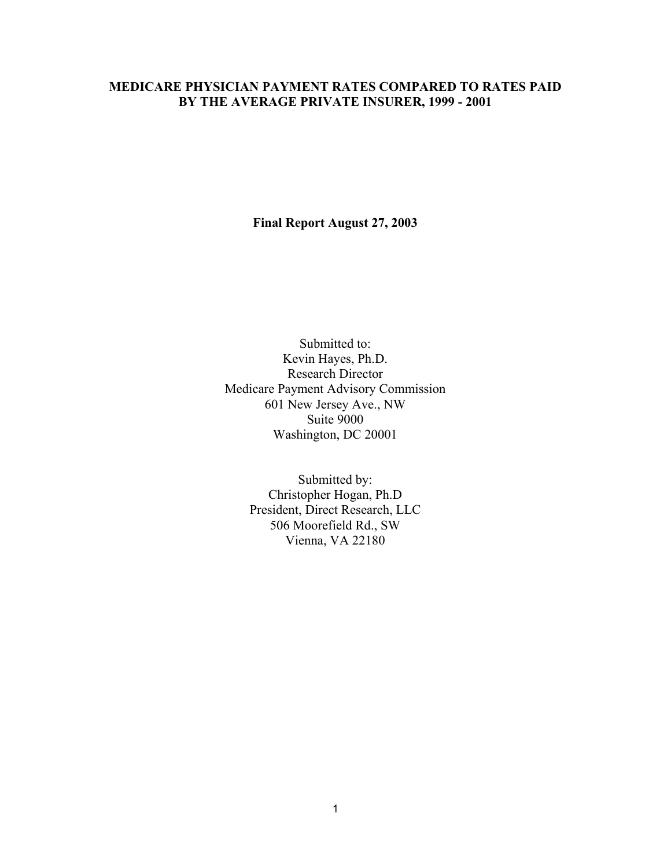#### **MEDICARE PHYSICIAN PAYMENT RATES COMPARED TO RATES PAID BY THE AVERAGE PRIVATE INSURER, 1999 - 2001**

**Final Report August 27, 2003** 

Submitted to: Kevin Hayes, Ph.D. Research Director Medicare Payment Advisory Commission 601 New Jersey Ave., NW Suite 9000 Washington, DC 20001

> Submitted by: Christopher Hogan, Ph.D President, Direct Research, LLC 506 Moorefield Rd., SW Vienna, VA 22180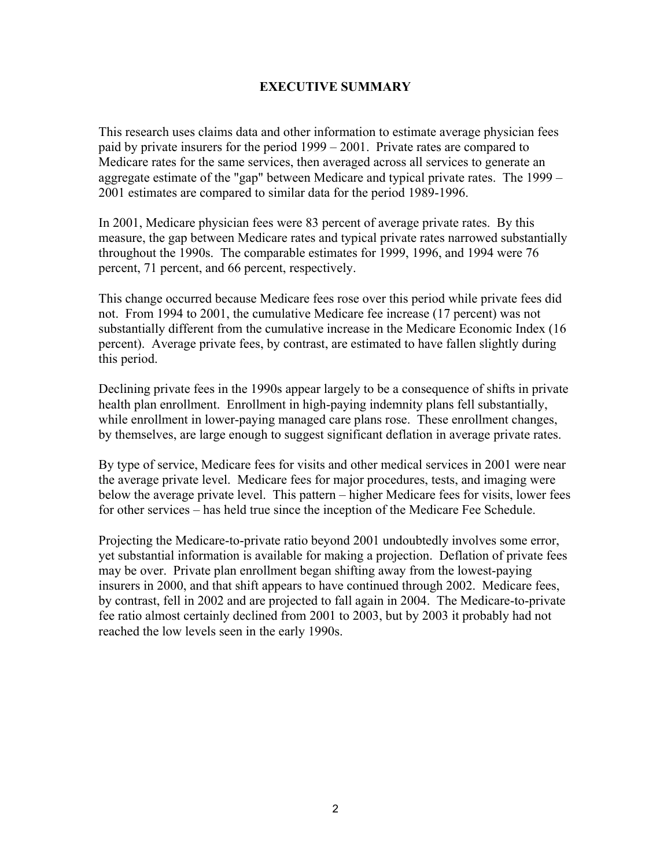#### **EXECUTIVE SUMMARY**

This research uses claims data and other information to estimate average physician fees paid by private insurers for the period 1999 – 2001. Private rates are compared to Medicare rates for the same services, then averaged across all services to generate an aggregate estimate of the "gap" between Medicare and typical private rates. The 1999 – 2001 estimates are compared to similar data for the period 1989-1996.

In 2001, Medicare physician fees were 83 percent of average private rates. By this measure, the gap between Medicare rates and typical private rates narrowed substantially throughout the 1990s. The comparable estimates for 1999, 1996, and 1994 were 76 percent, 71 percent, and 66 percent, respectively.

This change occurred because Medicare fees rose over this period while private fees did not. From 1994 to 2001, the cumulative Medicare fee increase (17 percent) was not substantially different from the cumulative increase in the Medicare Economic Index (16 percent). Average private fees, by contrast, are estimated to have fallen slightly during this period.

Declining private fees in the 1990s appear largely to be a consequence of shifts in private health plan enrollment. Enrollment in high-paying indemnity plans fell substantially, while enrollment in lower-paying managed care plans rose. These enrollment changes, by themselves, are large enough to suggest significant deflation in average private rates.

By type of service, Medicare fees for visits and other medical services in 2001 were near the average private level. Medicare fees for major procedures, tests, and imaging were below the average private level. This pattern – higher Medicare fees for visits, lower fees for other services – has held true since the inception of the Medicare Fee Schedule.

Projecting the Medicare-to-private ratio beyond 2001 undoubtedly involves some error, yet substantial information is available for making a projection. Deflation of private fees may be over. Private plan enrollment began shifting away from the lowest-paying insurers in 2000, and that shift appears to have continued through 2002. Medicare fees, by contrast, fell in 2002 and are projected to fall again in 2004. The Medicare-to-private fee ratio almost certainly declined from 2001 to 2003, but by 2003 it probably had not reached the low levels seen in the early 1990s.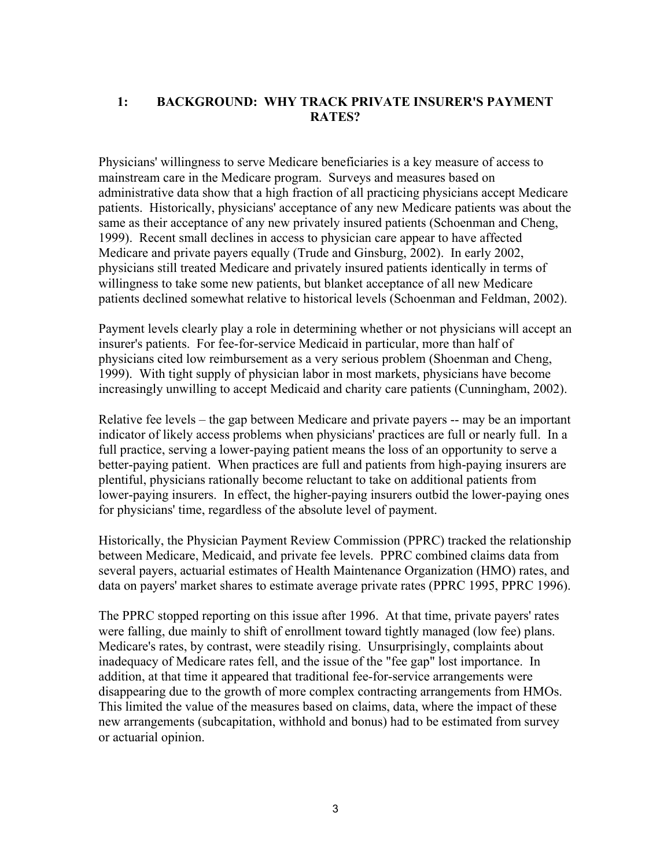#### **1: BACKGROUND: WHY TRACK PRIVATE INSURER'S PAYMENT RATES?**

Physicians' willingness to serve Medicare beneficiaries is a key measure of access to mainstream care in the Medicare program. Surveys and measures based on administrative data show that a high fraction of all practicing physicians accept Medicare patients. Historically, physicians' acceptance of any new Medicare patients was about the same as their acceptance of any new privately insured patients (Schoenman and Cheng, 1999). Recent small declines in access to physician care appear to have affected Medicare and private payers equally (Trude and Ginsburg, 2002). In early 2002, physicians still treated Medicare and privately insured patients identically in terms of willingness to take some new patients, but blanket acceptance of all new Medicare patients declined somewhat relative to historical levels (Schoenman and Feldman, 2002).

Payment levels clearly play a role in determining whether or not physicians will accept an insurer's patients. For fee-for-service Medicaid in particular, more than half of physicians cited low reimbursement as a very serious problem (Shoenman and Cheng, 1999). With tight supply of physician labor in most markets, physicians have become increasingly unwilling to accept Medicaid and charity care patients (Cunningham, 2002).

Relative fee levels – the gap between Medicare and private payers -- may be an important indicator of likely access problems when physicians' practices are full or nearly full. In a full practice, serving a lower-paying patient means the loss of an opportunity to serve a better-paying patient. When practices are full and patients from high-paying insurers are plentiful, physicians rationally become reluctant to take on additional patients from lower-paying insurers. In effect, the higher-paying insurers outbid the lower-paying ones for physicians' time, regardless of the absolute level of payment.

Historically, the Physician Payment Review Commission (PPRC) tracked the relationship between Medicare, Medicaid, and private fee levels. PPRC combined claims data from several payers, actuarial estimates of Health Maintenance Organization (HMO) rates, and data on payers' market shares to estimate average private rates (PPRC 1995, PPRC 1996).

The PPRC stopped reporting on this issue after 1996. At that time, private payers' rates were falling, due mainly to shift of enrollment toward tightly managed (low fee) plans. Medicare's rates, by contrast, were steadily rising. Unsurprisingly, complaints about inadequacy of Medicare rates fell, and the issue of the "fee gap" lost importance. In addition, at that time it appeared that traditional fee-for-service arrangements were disappearing due to the growth of more complex contracting arrangements from HMOs. This limited the value of the measures based on claims, data, where the impact of these new arrangements (subcapitation, withhold and bonus) had to be estimated from survey or actuarial opinion.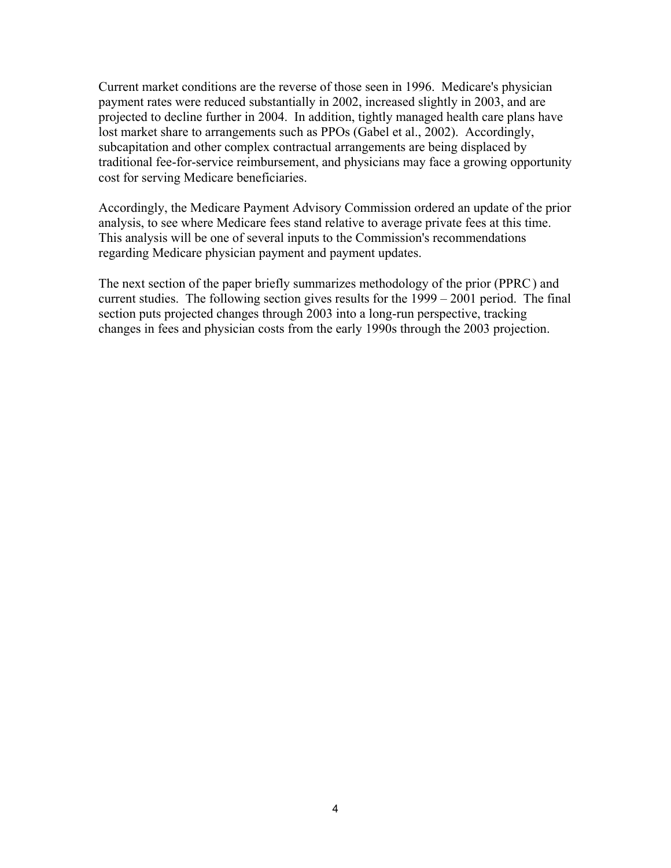Current market conditions are the reverse of those seen in 1996. Medicare's physician payment rates were reduced substantially in 2002, increased slightly in 2003, and are projected to decline further in 2004. In addition, tightly managed health care plans have lost market share to arrangements such as PPOs (Gabel et al., 2002). Accordingly, subcapitation and other complex contractual arrangements are being displaced by traditional fee-for-service reimbursement, and physicians may face a growing opportunity cost for serving Medicare beneficiaries.

Accordingly, the Medicare Payment Advisory Commission ordered an update of the prior analysis, to see where Medicare fees stand relative to average private fees at this time. This analysis will be one of several inputs to the Commission's recommendations regarding Medicare physician payment and payment updates.

The next section of the paper briefly summarizes methodology of the prior (PPRC ) and current studies. The following section gives results for the 1999 – 2001 period. The final section puts projected changes through 2003 into a long-run perspective, tracking changes in fees and physician costs from the early 1990s through the 2003 projection.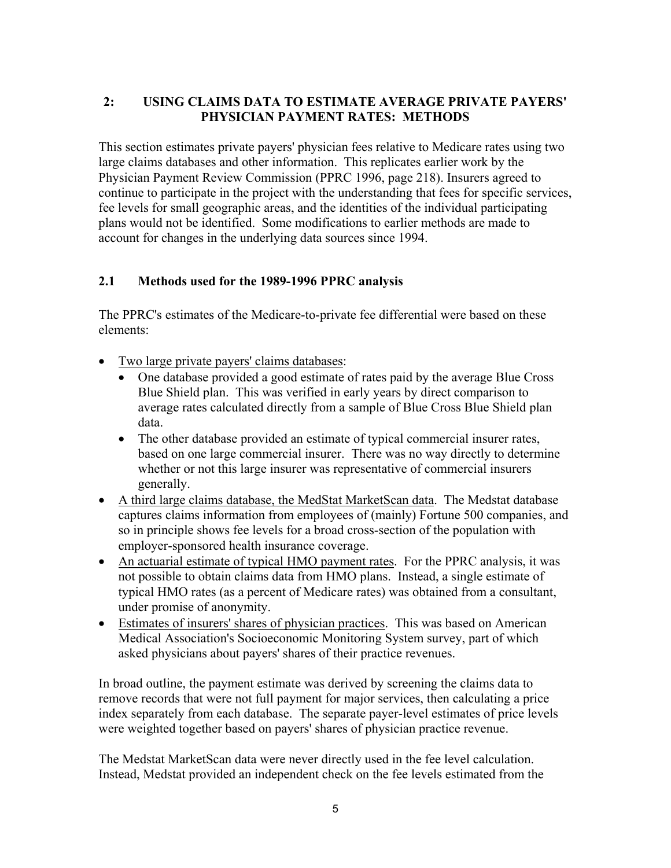# **2: USING CLAIMS DATA TO ESTIMATE AVERAGE PRIVATE PAYERS' PHYSICIAN PAYMENT RATES: METHODS**

This section estimates private payers' physician fees relative to Medicare rates using two large claims databases and other information. This replicates earlier work by the Physician Payment Review Commission (PPRC 1996, page 218). Insurers agreed to continue to participate in the project with the understanding that fees for specific services, fee levels for small geographic areas, and the identities of the individual participating plans would not be identified. Some modifications to earlier methods are made to account for changes in the underlying data sources since 1994.

# **2.1 Methods used for the 1989-1996 PPRC analysis**

The PPRC's estimates of the Medicare-to-private fee differential were based on these elements:

- Two large private payers' claims databases:
	- One database provided a good estimate of rates paid by the average Blue Cross Blue Shield plan. This was verified in early years by direct comparison to average rates calculated directly from a sample of Blue Cross Blue Shield plan data.
	- The other database provided an estimate of typical commercial insurer rates, based on one large commercial insurer. There was no way directly to determine whether or not this large insurer was representative of commercial insurers generally.
- A third large claims database, the MedStat MarketScan data. The Medstat database captures claims information from employees of (mainly) Fortune 500 companies, and so in principle shows fee levels for a broad cross-section of the population with employer-sponsored health insurance coverage.
- An actuarial estimate of typical HMO payment rates. For the PPRC analysis, it was not possible to obtain claims data from HMO plans. Instead, a single estimate of typical HMO rates (as a percent of Medicare rates) was obtained from a consultant, under promise of anonymity.
- Estimates of insurers' shares of physician practices. This was based on American Medical Association's Socioeconomic Monitoring System survey, part of which asked physicians about payers' shares of their practice revenues.

In broad outline, the payment estimate was derived by screening the claims data to remove records that were not full payment for major services, then calculating a price index separately from each database. The separate payer-level estimates of price levels were weighted together based on payers' shares of physician practice revenue.

The Medstat MarketScan data were never directly used in the fee level calculation. Instead, Medstat provided an independent check on the fee levels estimated from the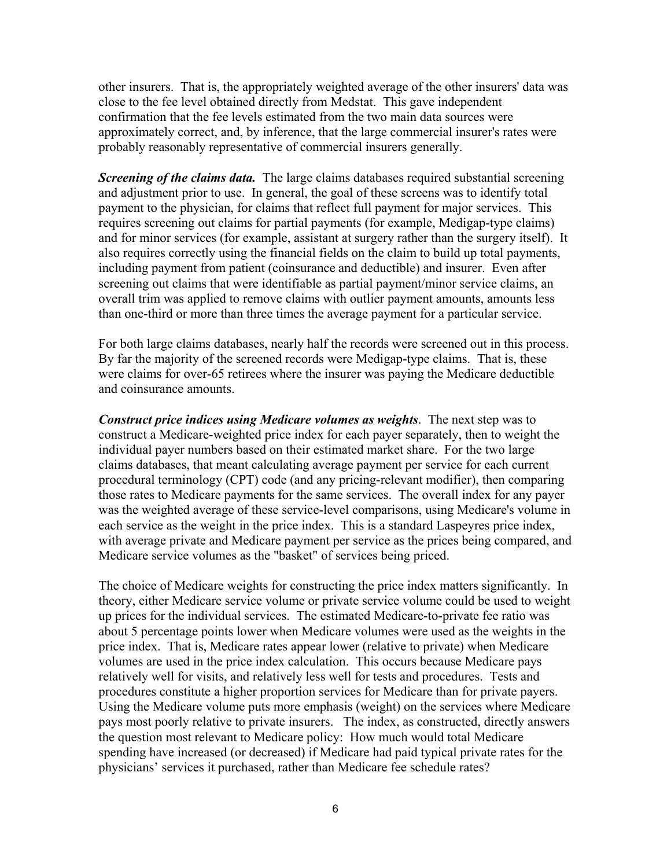other insurers. That is, the appropriately weighted average of the other insurers' data was close to the fee level obtained directly from Medstat. This gave independent confirmation that the fee levels estimated from the two main data sources were approximately correct, and, by inference, that the large commercial insurer's rates were probably reasonably representative of commercial insurers generally.

*Screening of the claims data.* The large claims databases required substantial screening and adjustment prior to use. In general, the goal of these screens was to identify total payment to the physician, for claims that reflect full payment for major services. This requires screening out claims for partial payments (for example, Medigap-type claims) and for minor services (for example, assistant at surgery rather than the surgery itself). It also requires correctly using the financial fields on the claim to build up total payments, including payment from patient (coinsurance and deductible) and insurer. Even after screening out claims that were identifiable as partial payment/minor service claims, an overall trim was applied to remove claims with outlier payment amounts, amounts less than one-third or more than three times the average payment for a particular service.

For both large claims databases, nearly half the records were screened out in this process. By far the majority of the screened records were Medigap-type claims. That is, these were claims for over-65 retirees where the insurer was paying the Medicare deductible and coinsurance amounts.

*Construct price indices using Medicare volumes as weights*. The next step was to construct a Medicare-weighted price index for each payer separately, then to weight the individual payer numbers based on their estimated market share. For the two large claims databases, that meant calculating average payment per service for each current procedural terminology (CPT) code (and any pricing-relevant modifier), then comparing those rates to Medicare payments for the same services. The overall index for any payer was the weighted average of these service-level comparisons, using Medicare's volume in each service as the weight in the price index. This is a standard Laspeyres price index, with average private and Medicare payment per service as the prices being compared, and Medicare service volumes as the "basket" of services being priced.

The choice of Medicare weights for constructing the price index matters significantly. In theory, either Medicare service volume or private service volume could be used to weight up prices for the individual services. The estimated Medicare-to-private fee ratio was about 5 percentage points lower when Medicare volumes were used as the weights in the price index. That is, Medicare rates appear lower (relative to private) when Medicare volumes are used in the price index calculation. This occurs because Medicare pays relatively well for visits, and relatively less well for tests and procedures. Tests and procedures constitute a higher proportion services for Medicare than for private payers. Using the Medicare volume puts more emphasis (weight) on the services where Medicare pays most poorly relative to private insurers. The index, as constructed, directly answers the question most relevant to Medicare policy: How much would total Medicare spending have increased (or decreased) if Medicare had paid typical private rates for the physicians' services it purchased, rather than Medicare fee schedule rates?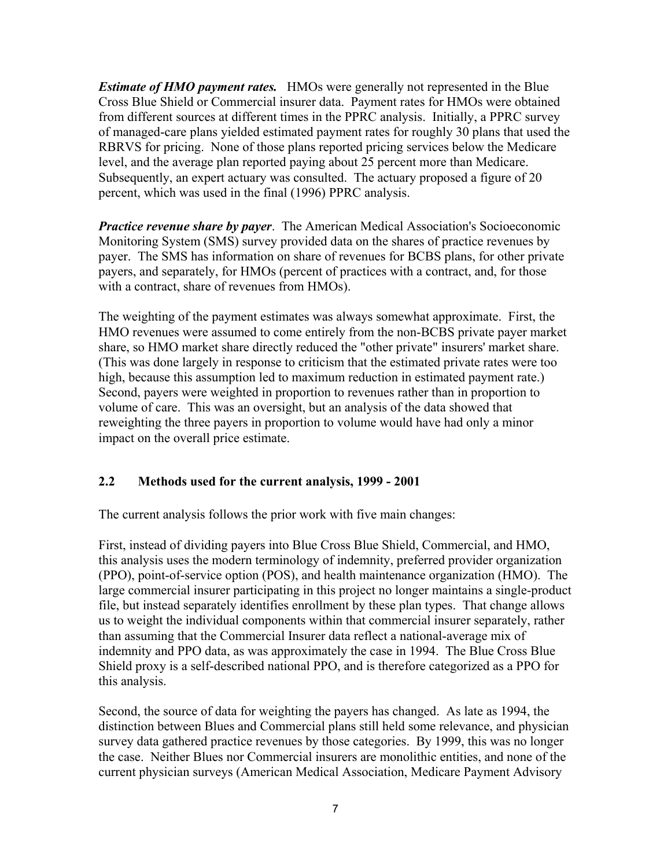*Estimate of HMO payment rates.* HMOs were generally not represented in the Blue Cross Blue Shield or Commercial insurer data. Payment rates for HMOs were obtained from different sources at different times in the PPRC analysis. Initially, a PPRC survey of managed-care plans yielded estimated payment rates for roughly 30 plans that used the RBRVS for pricing. None of those plans reported pricing services below the Medicare level, and the average plan reported paying about 25 percent more than Medicare. Subsequently, an expert actuary was consulted. The actuary proposed a figure of 20 percent, which was used in the final (1996) PPRC analysis.

*Practice revenue share by payer*. The American Medical Association's Socioeconomic Monitoring System (SMS) survey provided data on the shares of practice revenues by payer. The SMS has information on share of revenues for BCBS plans, for other private payers, and separately, for HMOs (percent of practices with a contract, and, for those with a contract, share of revenues from HMOs).

The weighting of the payment estimates was always somewhat approximate. First, the HMO revenues were assumed to come entirely from the non-BCBS private payer market share, so HMO market share directly reduced the "other private" insurers' market share. (This was done largely in response to criticism that the estimated private rates were too high, because this assumption led to maximum reduction in estimated payment rate.) Second, payers were weighted in proportion to revenues rather than in proportion to volume of care. This was an oversight, but an analysis of the data showed that reweighting the three payers in proportion to volume would have had only a minor impact on the overall price estimate.

#### **2.2 Methods used for the current analysis, 1999 - 2001**

The current analysis follows the prior work with five main changes:

First, instead of dividing payers into Blue Cross Blue Shield, Commercial, and HMO, this analysis uses the modern terminology of indemnity, preferred provider organization (PPO), point-of-service option (POS), and health maintenance organization (HMO). The large commercial insurer participating in this project no longer maintains a single-product file, but instead separately identifies enrollment by these plan types. That change allows us to weight the individual components within that commercial insurer separately, rather than assuming that the Commercial Insurer data reflect a national-average mix of indemnity and PPO data, as was approximately the case in 1994. The Blue Cross Blue Shield proxy is a self-described national PPO, and is therefore categorized as a PPO for this analysis.

Second, the source of data for weighting the payers has changed. As late as 1994, the distinction between Blues and Commercial plans still held some relevance, and physician survey data gathered practice revenues by those categories. By 1999, this was no longer the case. Neither Blues nor Commercial insurers are monolithic entities, and none of the current physician surveys (American Medical Association, Medicare Payment Advisory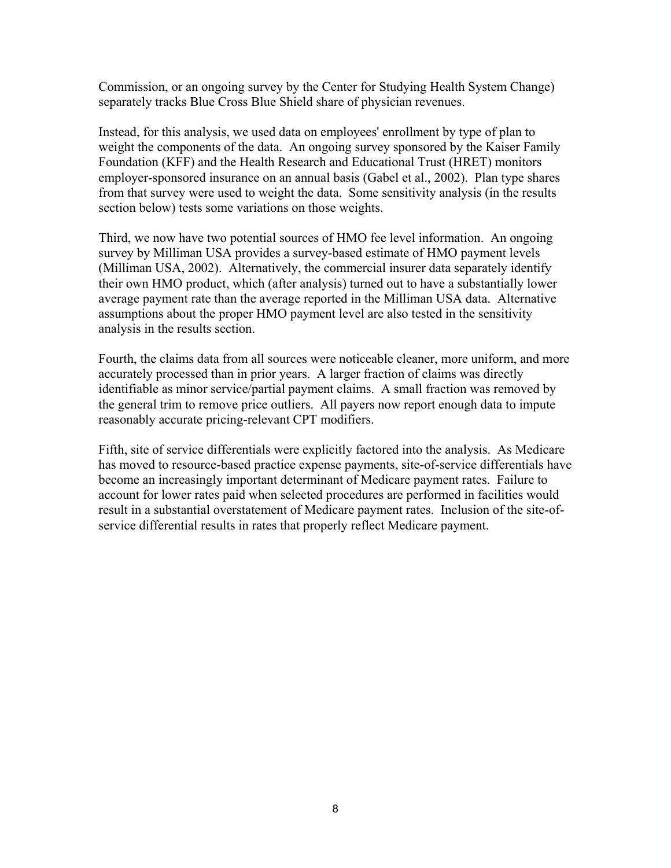Commission, or an ongoing survey by the Center for Studying Health System Change) separately tracks Blue Cross Blue Shield share of physician revenues.

Instead, for this analysis, we used data on employees' enrollment by type of plan to weight the components of the data. An ongoing survey sponsored by the Kaiser Family Foundation (KFF) and the Health Research and Educational Trust (HRET) monitors employer-sponsored insurance on an annual basis (Gabel et al., 2002). Plan type shares from that survey were used to weight the data. Some sensitivity analysis (in the results section below) tests some variations on those weights.

Third, we now have two potential sources of HMO fee level information. An ongoing survey by Milliman USA provides a survey-based estimate of HMO payment levels (Milliman USA, 2002). Alternatively, the commercial insurer data separately identify their own HMO product, which (after analysis) turned out to have a substantially lower average payment rate than the average reported in the Milliman USA data. Alternative assumptions about the proper HMO payment level are also tested in the sensitivity analysis in the results section.

Fourth, the claims data from all sources were noticeable cleaner, more uniform, and more accurately processed than in prior years. A larger fraction of claims was directly identifiable as minor service/partial payment claims. A small fraction was removed by the general trim to remove price outliers. All payers now report enough data to impute reasonably accurate pricing-relevant CPT modifiers.

Fifth, site of service differentials were explicitly factored into the analysis. As Medicare has moved to resource-based practice expense payments, site-of-service differentials have become an increasingly important determinant of Medicare payment rates. Failure to account for lower rates paid when selected procedures are performed in facilities would result in a substantial overstatement of Medicare payment rates. Inclusion of the site-ofservice differential results in rates that properly reflect Medicare payment.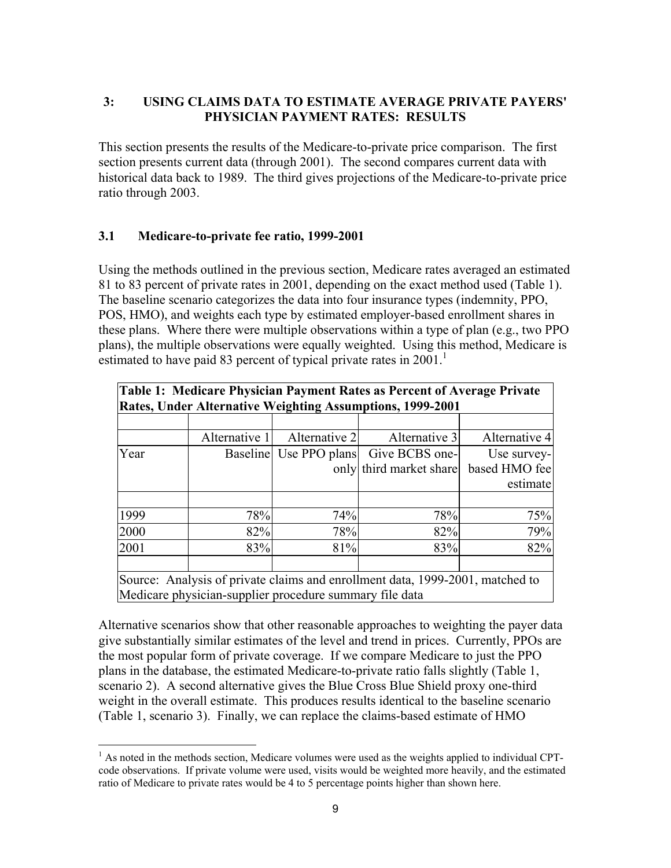## **3: USING CLAIMS DATA TO ESTIMATE AVERAGE PRIVATE PAYERS' PHYSICIAN PAYMENT RATES: RESULTS**

This section presents the results of the Medicare-to-private price comparison. The first section presents current data (through 2001). The second compares current data with historical data back to 1989. The third gives projections of the Medicare-to-private price ratio through 2003.

#### **3.1 Medicare-to-private fee ratio, 1999-2001**

Using the methods outlined in the previous section, Medicare rates averaged an estimated 81 to 83 percent of private rates in 2001, depending on the exact method used (Table 1). The baseline scenario categorizes the data into four insurance types (indemnity, PPO, POS, HMO), and weights each type by estimated employer-based enrollment shares in these plans. Where there were multiple observations within a type of plan (e.g., two PPO plans), the multiple observations were equally weighted. Using this method, Medicare is estimated to have paid 83 percent of typical private rates in  $2001$  $2001$ .<sup>1</sup>

| Table 1: Medicare Physician Payment Rates as Percent of Average Private<br><b>Rates, Under Alternative Weighting Assumptions, 1999-2001</b> |                                                         |               |                                                                               |               |  |  |  |
|---------------------------------------------------------------------------------------------------------------------------------------------|---------------------------------------------------------|---------------|-------------------------------------------------------------------------------|---------------|--|--|--|
|                                                                                                                                             |                                                         |               |                                                                               |               |  |  |  |
|                                                                                                                                             | Alternative 1                                           | Alternative 2 | Alternative 3                                                                 | Alternative 4 |  |  |  |
| Year                                                                                                                                        |                                                         |               | Baseline Use PPO plans Give BCBS one-                                         | Use survey-   |  |  |  |
|                                                                                                                                             |                                                         |               | only third market share                                                       | based HMO fee |  |  |  |
|                                                                                                                                             |                                                         |               |                                                                               | estimate      |  |  |  |
|                                                                                                                                             |                                                         |               |                                                                               |               |  |  |  |
| 1999                                                                                                                                        | 78%                                                     | 74%           | 78%                                                                           | 75%           |  |  |  |
| 2000                                                                                                                                        | 82%                                                     | 78%           | 82%                                                                           | 79%           |  |  |  |
| 2001                                                                                                                                        | 83%                                                     | 81%           | 83%                                                                           | 82%           |  |  |  |
|                                                                                                                                             | Medicare physician-supplier procedure summary file data |               | Source: Analysis of private claims and enrollment data, 1999-2001, matched to |               |  |  |  |

Alternative scenarios show that other reasonable approaches to weighting the payer data give substantially similar estimates of the level and trend in prices. Currently, PPOs are the most popular form of private coverage. If we compare Medicare to just the PPO plans in the database, the estimated Medicare-to-private ratio falls slightly (Table 1, scenario 2). A second alternative gives the Blue Cross Blue Shield proxy one-third weight in the overall estimate. This produces results identical to the baseline scenario (Table 1, scenario 3). Finally, we can replace the claims-based estimate of HMO

<span id="page-9-0"></span> $\overline{a}$ <sup>1</sup> As noted in the methods section, Medicare volumes were used as the weights applied to individual CPTcode observations. If private volume were used, visits would be weighted more heavily, and the estimated ratio of Medicare to private rates would be 4 to 5 percentage points higher than shown here.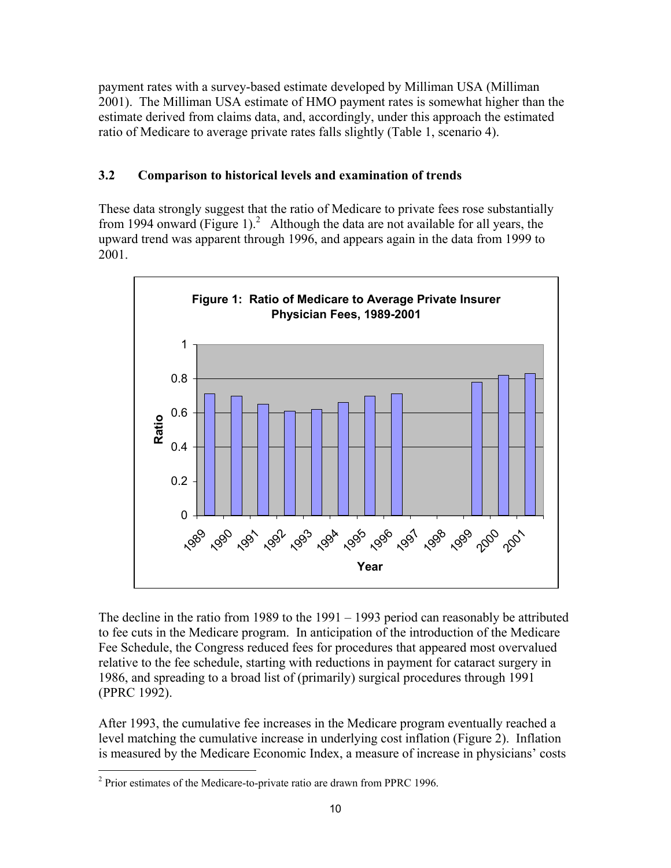payment rates with a survey-based estimate developed by Milliman USA (Milliman 2001). The Milliman USA estimate of HMO payment rates is somewhat higher than the estimate derived from claims data, and, accordingly, under this approach the estimated ratio of Medicare to average private rates falls slightly (Table 1, scenario 4).

## **3.2 Comparison to historical levels and examination of trends**

These data strongly suggest that the ratio of Medicare to private fees rose substantially from 1994 onward (Figure 1).<sup>[2](#page-10-0)</sup> Although the data are not available for all years, the upward trend was apparent through 1996, and appears again in the data from 1999 to 2001.



The decline in the ratio from 1989 to the 1991 – 1993 period can reasonably be attributed to fee cuts in the Medicare program. In anticipation of the introduction of the Medicare Fee Schedule, the Congress reduced fees for procedures that appeared most overvalued relative to the fee schedule, starting with reductions in payment for cataract surgery in 1986, and spreading to a broad list of (primarily) surgical procedures through 1991 (PPRC 1992).

After 1993, the cumulative fee increases in the Medicare program eventually reached a level matching the cumulative increase in underlying cost inflation (Figure 2). Inflation is measured by the Medicare Economic Index, a measure of increase in physicians' costs

<span id="page-10-0"></span><sup>&</sup>lt;u>.</u> <sup>2</sup> Prior estimates of the Medicare-to-private ratio are drawn from PPRC 1996.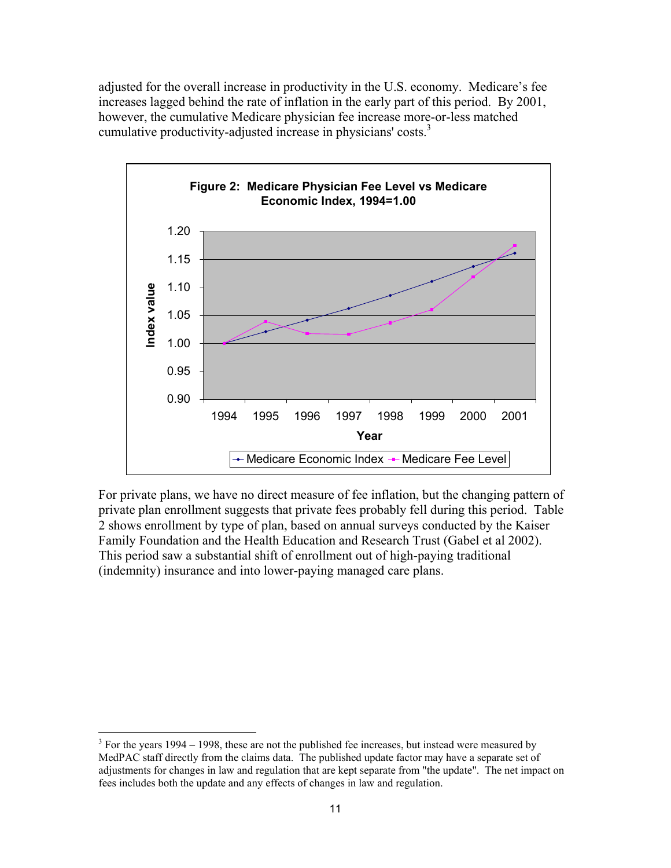adjusted for the overall increase in productivity in the U.S. economy. Medicare's fee increases lagged behind the rate of inflation in the early part of this period. By 2001, however, the cumulative Medicare physician fee increase more-or-less matched cumulative productivity-adjusted increase in physicians' costs.<sup>3</sup>



For private plans, we have no direct measure of fee inflation, but the changing pattern of private plan enrollment suggests that private fees probably fell during this period. Table 2 shows enrollment by type of plan, based on annual surveys conducted by the Kaiser Family Foundation and the Health Education and Research Trust (Gabel et al 2002). This period saw a substantial shift of enrollment out of high-paying traditional (indemnity) insurance and into lower-paying managed care plans.

 $\overline{a}$ 

<span id="page-11-0"></span> $3$  For the years 1994 – 1998, these are not the published fee increases, but instead were measured by MedPAC staff directly from the claims data. The published update factor may have a separate set of adjustments for changes in law and regulation that are kept separate from "the update". The net impact on fees includes both the update and any effects of changes in law and regulation.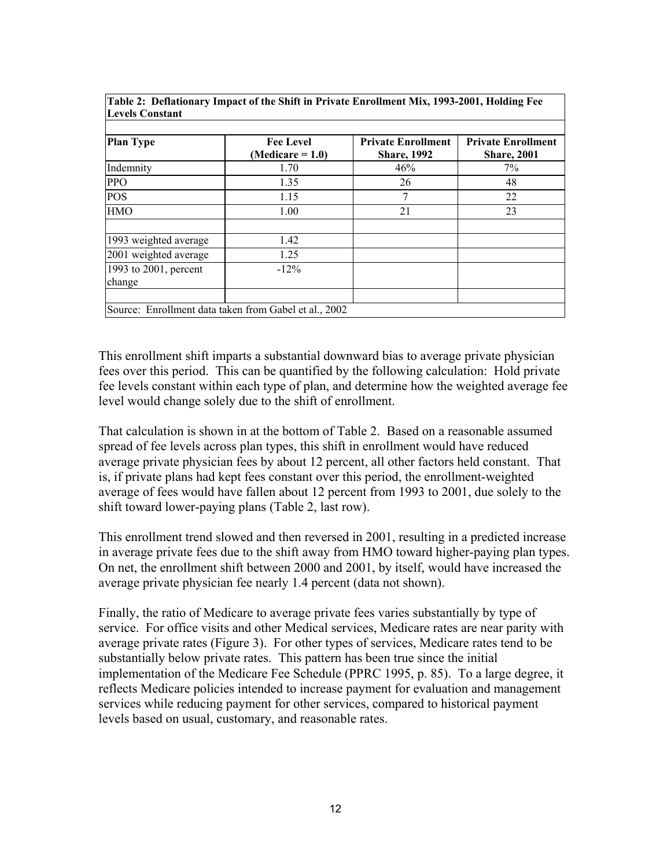| <b>Share, 1992</b><br>46%<br>26 | <b>Share, 2001</b><br>7%<br>48 |
|---------------------------------|--------------------------------|
|                                 |                                |
|                                 |                                |
|                                 | 22                             |
|                                 | 23                             |
|                                 |                                |
|                                 |                                |
|                                 |                                |
|                                 | 21                             |

**Table 2: Deflationary Impact of the Shift in Private Enrollment Mix, 1993-2001, Holding Fee Levels Constant** 

This enrollment shift imparts a substantial downward bias to average private physician fees over this period. This can be quantified by the following calculation: Hold private fee levels constant within each type of plan, and determine how the weighted average fee level would change solely due to the shift of enrollment.

That calculation is shown in at the bottom of Table 2. Based on a reasonable assumed spread of fee levels across plan types, this shift in enrollment would have reduced average private physician fees by about 12 percent, all other factors held constant. That is, if private plans had kept fees constant over this period, the enrollment-weighted average of fees would have fallen about 12 percent from 1993 to 2001, due solely to the shift toward lower-paying plans (Table 2, last row).

This enrollment trend slowed and then reversed in 2001, resulting in a predicted increase in average private fees due to the shift away from HMO toward higher-paying plan types. On net, the enrollment shift between 2000 and 2001, by itself, would have increased the average private physician fee nearly 1.4 percent (data not shown).

Finally, the ratio of Medicare to average private fees varies substantially by type of service. For office visits and other Medical services, Medicare rates are near parity with average private rates (Figure 3). For other types of services, Medicare rates tend to be substantially below private rates. This pattern has been true since the initial implementation of the Medicare Fee Schedule (PPRC 1995, p. 85). To a large degree, it reflects Medicare policies intended to increase payment for evaluation and management services while reducing payment for other services, compared to historical payment levels based on usual, customary, and reasonable rates.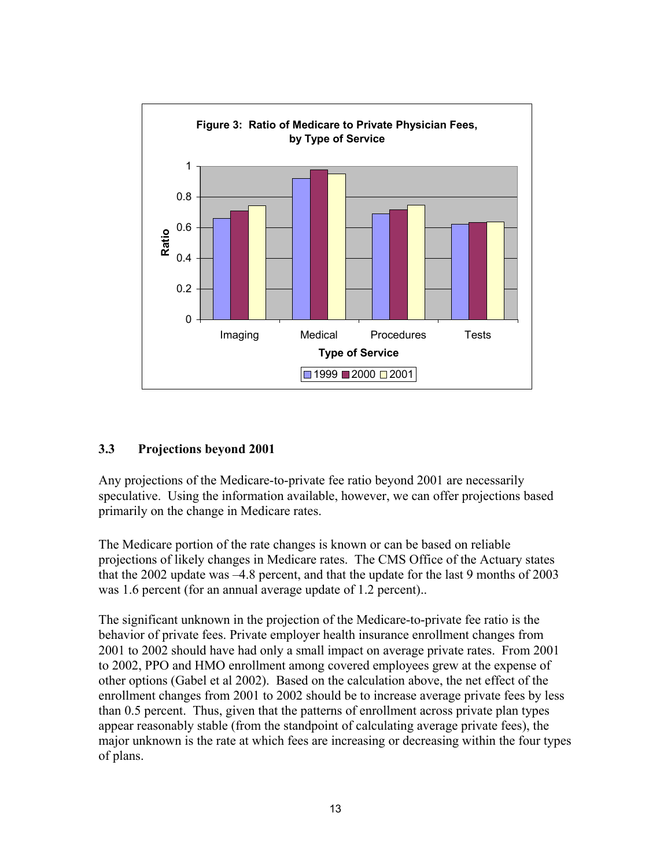

#### **3.3 Projections beyond 2001**

Any projections of the Medicare-to-private fee ratio beyond 2001 are necessarily speculative. Using the information available, however, we can offer projections based primarily on the change in Medicare rates.

The Medicare portion of the rate changes is known or can be based on reliable projections of likely changes in Medicare rates. The CMS Office of the Actuary states that the 2002 update was –4.8 percent, and that the update for the last 9 months of 2003 was 1.6 percent (for an annual average update of 1.2 percent)...

The significant unknown in the projection of the Medicare-to-private fee ratio is the behavior of private fees. Private employer health insurance enrollment changes from 2001 to 2002 should have had only a small impact on average private rates. From 2001 to 2002, PPO and HMO enrollment among covered employees grew at the expense of other options (Gabel et al 2002). Based on the calculation above, the net effect of the enrollment changes from 2001 to 2002 should be to increase average private fees by less than 0.5 percent. Thus, given that the patterns of enrollment across private plan types appear reasonably stable (from the standpoint of calculating average private fees), the major unknown is the rate at which fees are increasing or decreasing within the four types of plans.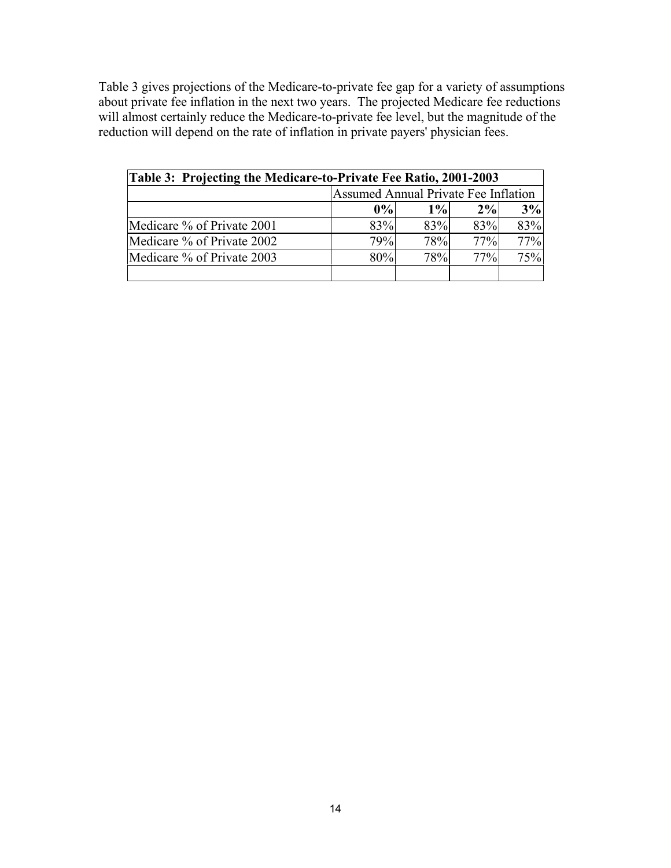Table 3 gives projections of the Medicare-to-private fee gap for a variety of assumptions about private fee inflation in the next two years. The projected Medicare fee reductions will almost certainly reduce the Medicare-to-private fee level, but the magnitude of the reduction will depend on the rate of inflation in private payers' physician fees.

| Table 3: Projecting the Medicare-to-Private Fee Ratio, 2001-2003 |     |                                      |     |     |  |  |  |
|------------------------------------------------------------------|-----|--------------------------------------|-----|-----|--|--|--|
|                                                                  |     | Assumed Annual Private Fee Inflation |     |     |  |  |  |
|                                                                  | 0%  | $1\%$                                | 2%  | 3%  |  |  |  |
| Medicare % of Private 2001                                       | 83% | 83%                                  | 83% | 83% |  |  |  |
| Medicare % of Private 2002                                       | 79% | 78%                                  | 77% | 77% |  |  |  |
| Medicare % of Private 2003                                       | 80% | 78%                                  | 77% | 75% |  |  |  |
|                                                                  |     |                                      |     |     |  |  |  |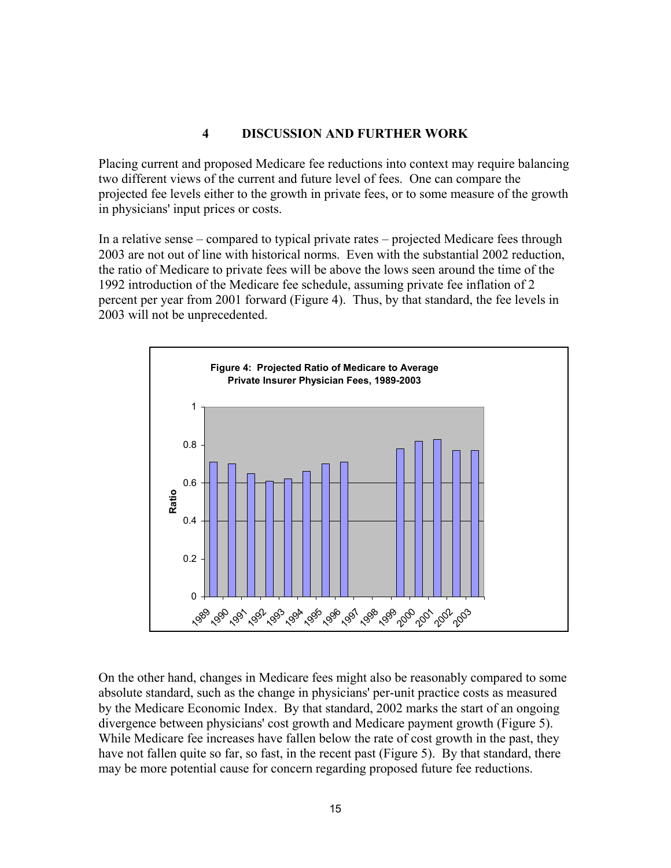#### **4 DISCUSSION AND FURTHER WORK**

Placing current and proposed Medicare fee reductions into context may require balancing two different views of the current and future level of fees. One can compare the projected fee levels either to the growth in private fees, or to some measure of the growth in physicians' input prices or costs.

In a relative sense – compared to typical private rates – projected Medicare fees through 2003 are not out of line with historical norms. Even with the substantial 2002 reduction, the ratio of Medicare to private fees will be above the lows seen around the time of the 1992 introduction of the Medicare fee schedule, assuming private fee inflation of 2 percent per year from 2001 forward (Figure 4). Thus, by that standard, the fee levels in 2003 will not be unprecedented.



On the other hand, changes in Medicare fees might also be reasonably compared to some absolute standard, such as the change in physicians' per-unit practice costs as measured by the Medicare Economic Index. By that standard, 2002 marks the start of an ongoing divergence between physicians' cost growth and Medicare payment growth (Figure 5). While Medicare fee increases have fallen below the rate of cost growth in the past, they have not fallen quite so far, so fast, in the recent past (Figure 5). By that standard, there may be more potential cause for concern regarding proposed future fee reductions.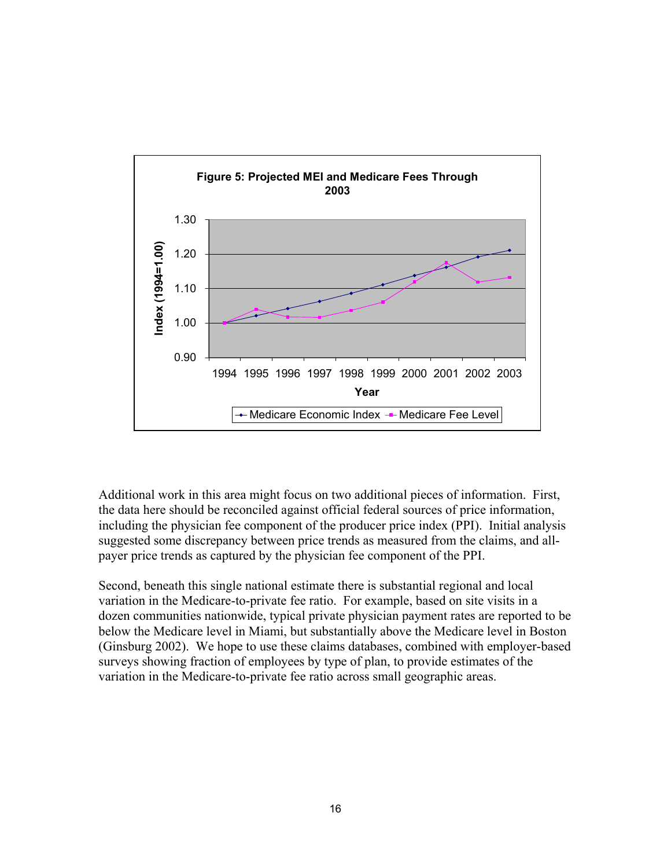

Additional work in this area might focus on two additional pieces of information. First, the data here should be reconciled against official federal sources of price information, including the physician fee component of the producer price index (PPI). Initial analysis suggested some discrepancy between price trends as measured from the claims, and allpayer price trends as captured by the physician fee component of the PPI.

Second, beneath this single national estimate there is substantial regional and local variation in the Medicare-to-private fee ratio. For example, based on site visits in a dozen communities nationwide, typical private physician payment rates are reported to be below the Medicare level in Miami, but substantially above the Medicare level in Boston (Ginsburg 2002). We hope to use these claims databases, combined with employer-based surveys showing fraction of employees by type of plan, to provide estimates of the variation in the Medicare-to-private fee ratio across small geographic areas.